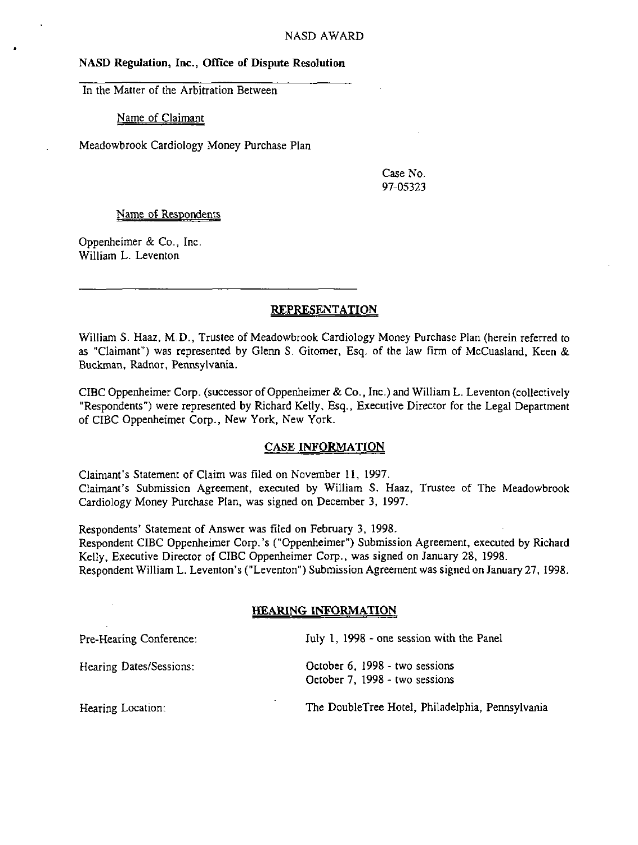## NASD Regulation, Inc., Office of Dispute Resolution

In the Matter of the Arbitration Between

Name of Claimant

Meadowbrook Cardiology Money Purchase Plan

Case No, 97-05323

#### Name of Respondents

Oppenheimer & Co., Inc. William L. Leventon

## REPRESENTATION

William S. Haaz, M.D., Trustee of Meadowbrook Cardiology Money Purchase Plan (herein referred to as "Claimant") was represented by Glenn S. Gitomer, Esq. of the law firm of McCuasland, Keen & Buckman, Radnor, Pennsylvania.

CIBC Oppenheimer Corp. (successor of Oppenheimer & Co., Inc.) and William L. Leventon (collectively "Respondents") were represented by Richard Kelly, Esq., Executive Director for the Legal Department of CISC Oppenheimer Corp., New York, New York.

#### CASE INFORMATION

Claimant's Statement of Claim was filed on November 11, 1997. Claimant's Submission Agreement, executed by William S. Haaz, Trustee of The Meadowbrook Cardiology Money Purchase Plan, was signed on December 3, 1997.

Respondents' Statement of Answer was filed on February 3, 1998. Respondent CIBC Oppenheimer Corp.'s ("Oppenheimer") Submission Agreement, executed by Richard Kelly, Executive Director of CIBC Oppenheimer Corp., was signed on January 28, 1998. Respondent William L. Leventon's ("Leventon") Submission Agreement was signed on January 27, 1998.

# HEARING INFORMATION

| Pre-Hearing Conference: | July 1, 1998 - one session with the Panel                        |
|-------------------------|------------------------------------------------------------------|
| Hearing Dates/Sessions: | October 6, 1998 - two sessions<br>October 7, 1998 - two sessions |
| Hearing Location:       | The DoubleTree Hotel, Philadelphia, Pennsylvania                 |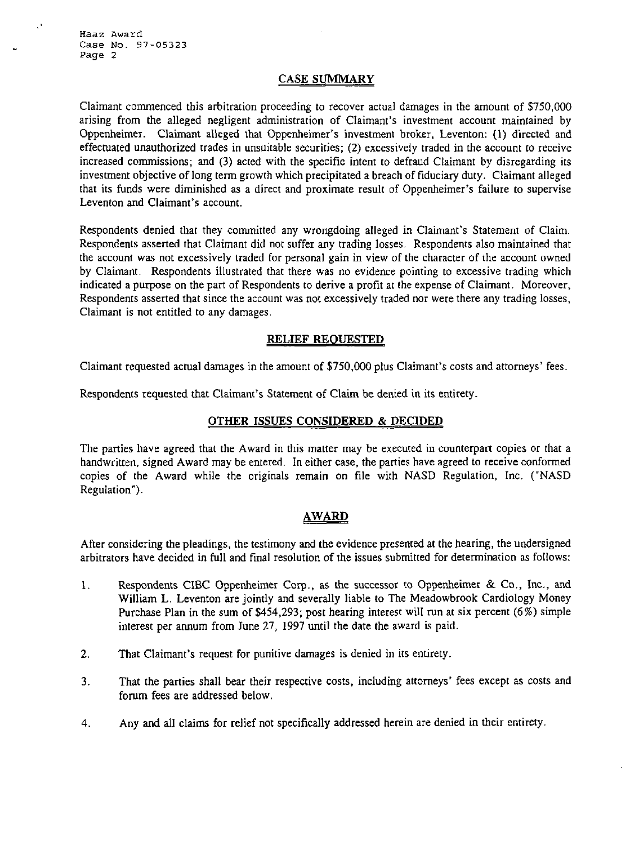## CASE SUMMARY

Claimant commenced this arbitration proceeding to recover actual damages in the amount of 5750,000 arising from the alleged negligent administration of Claimant's investment account maintained by Oppenheimer. Claimant alleged that Oppenheimer's investment broker, Leventon: (1) directed and effectuated unauthorized trades in unsuitable securities; (2) excessively traded in the account to receive increased commissions; and (3) acted with the specific intent to defraud Claimant by disregarding its investment objective of long term growth which precipitated a breach of fiduciary duty. Claimant alleged that its funds were diminished as a direct and proximate result of Oppenheimer's failure to supervise Leventon and Claimant's account.

Respondents denied that they committed any wrongdoing alleged in Claimant's Statement of Claim. Respondents asserted that Claimant did not suffer any trading losses. Respondents also maintained that the account was not excessively traded for personal gain in view of the character of the account owned by Claimant. Respondents illustrated that there was no evidence pointing to excessive trading which indicated a purpose on the part of Respondents to derive a profit at the expense of Claimant, Moreover, Respondents asserted that since the account was not excessively traded nor were there any trading losses, Claimant is not entitled to any damages,

#### RELIEF REQUESTED

Claimant requested actual damages in the amount of \$750,000 plus Claimant's costs and attorneys' fees.

Respondents requested that Claimant's Statement of Claim be denied in its entirety.

# OTHER ISSUES CONSIDERED & DECIDED

The parties have agreed that the Award in this matter may be executed in counterpart copies or that a handwritten, signed Award may be entered. In either case, the parties have agreed to receive conformed copies of the Award while the originals remain on file with NASD Regulation, Inc. ("NASD Regulation").

## AWARD

After considering the pleadings, the testimony and the evidence presented at the hearing, the undersigned arbitrators have decided in full and final resolution of the issues submitted for determination as follows:

- 1. Respondents CIBC Oppenheimer Corp., as the successor to Oppenheimer & Co,, Inc., and William L. Leventon are jointly and severally liable to The Meadowbrook Cardiology Money Purchase Plan in the sum of \$454,293; post hearing interest will run at six percent (6%) simple interest per annum from June 27, 1997 until the date the award is paid.
- 2. That Claimant's request for punitive damages is denied in its entirety.
- 3. That the parties shall bear their respective costs, including attorneys' fees except as costs and forum fees are addressed below.
- 4. Any and all claims for relief not specifically addressed herein are denied in their entirety.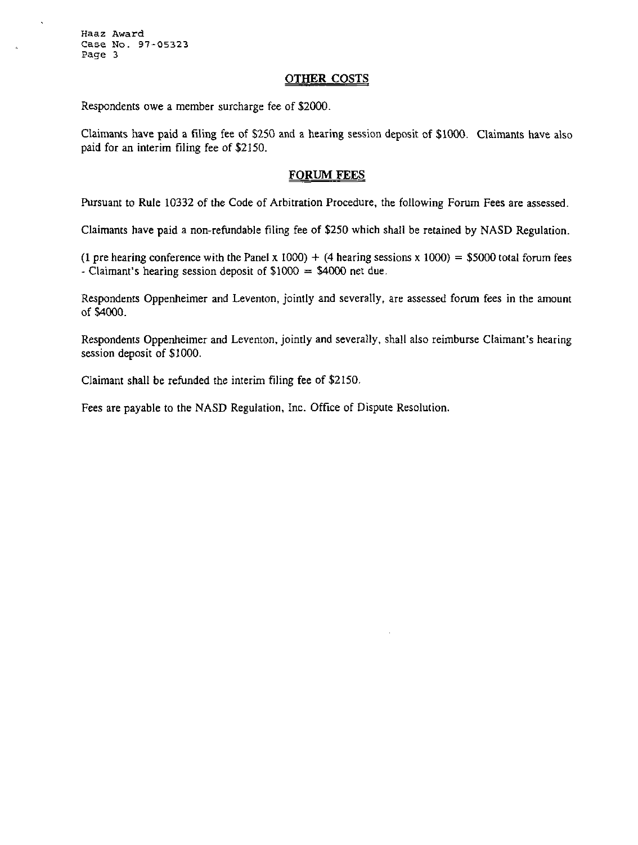#### OTHER COSTS

Respondents owe a member surcharge fee of \$2000.

Claimants have paid a filing fee of \$250 and a hearing session deposit of \$1000. Claimants have also paid for an interim filing fee of \$2150.

#### FORUM FEES

Pursuant to Rule 10332 of the Code of Arbitration Procedure, the following Forum Fees are assessed.

Claimants have paid a non-refundable filing fee of \$250 which shall be retained by NASD Regulation.

(1 pre hearing conference with the Panel x 1000) + (4 hearing sessions x 1000) = \$5000 total forum fees - Claimant's hearing session deposit of  $$1000 = $4000$  net due.

Respondents Oppenheimer and Leventon, jointly and severally, are assessed forum fees in the amount of \$4000.

Respondents Oppenheimer and Leventon, jointly and severally, shall also reimburse Claimant's hearing session deposit of \$1000.

Claimant shall be refunded the interim filing fee of \$2150,

Fees are payable to the NASD Regulation, Inc. Office of Dispute Resolution.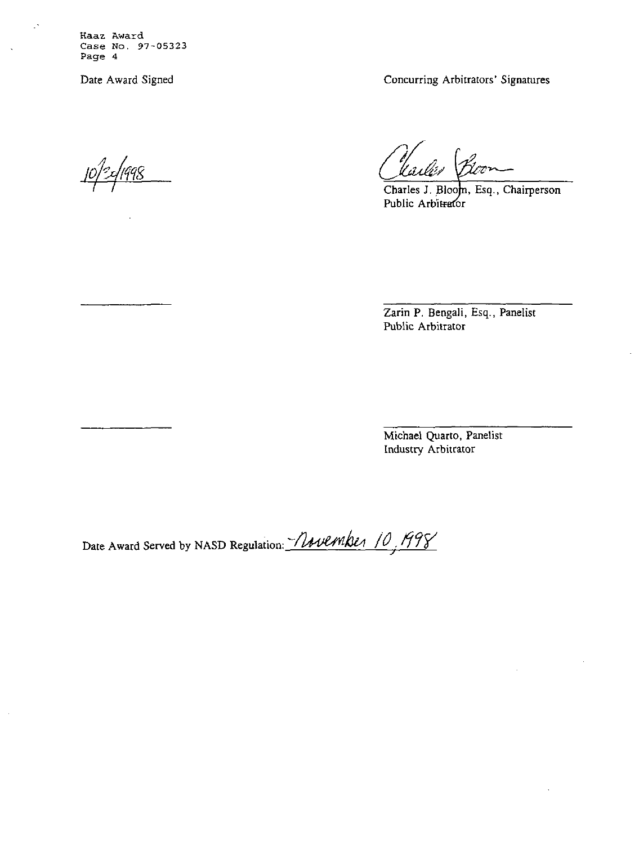Date Award Signed Concurring Arbitrators' Signatures

.<br><u>498.</u>

Charles J. Bloom, Esq., Chairperson Public Arbitrator

Zarin P. Bengali, Esq., Panelist Public Arbitrator

Michael Quarto, Panelist Industry Arbitrator

Date Award Served by NASD Regulation: *November 10, 1998*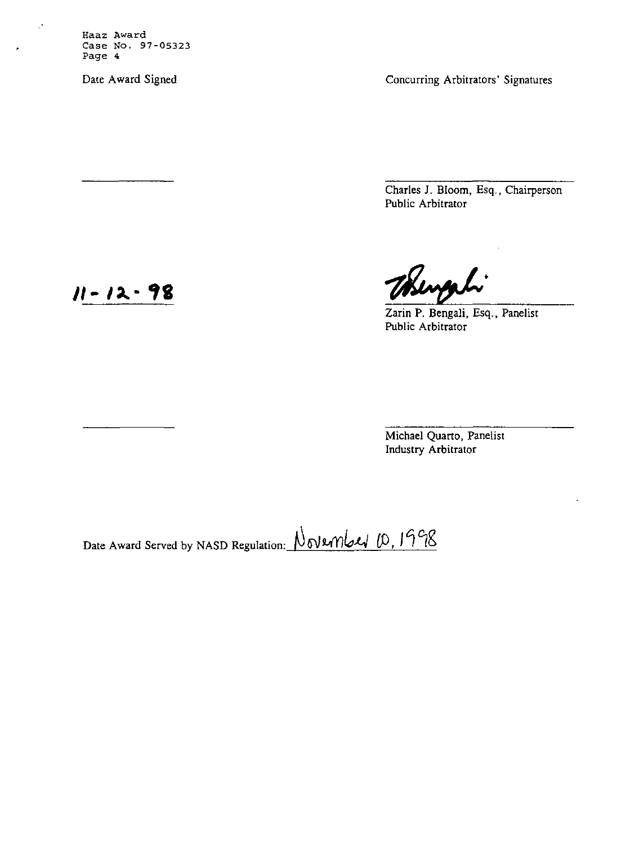Date Award Signed Concurring Arbitrators' Signatures

Charles J. Bloom, Esq., Chairperson Public Arbitrator

Bengali

Zarin P. Bengali, Esq., Panelist Public Arbitrator

Michael Quarto, Panelist Industry Arbitrator

Date Award Served by NASD Regulation: November 10, 1998

11-12-98